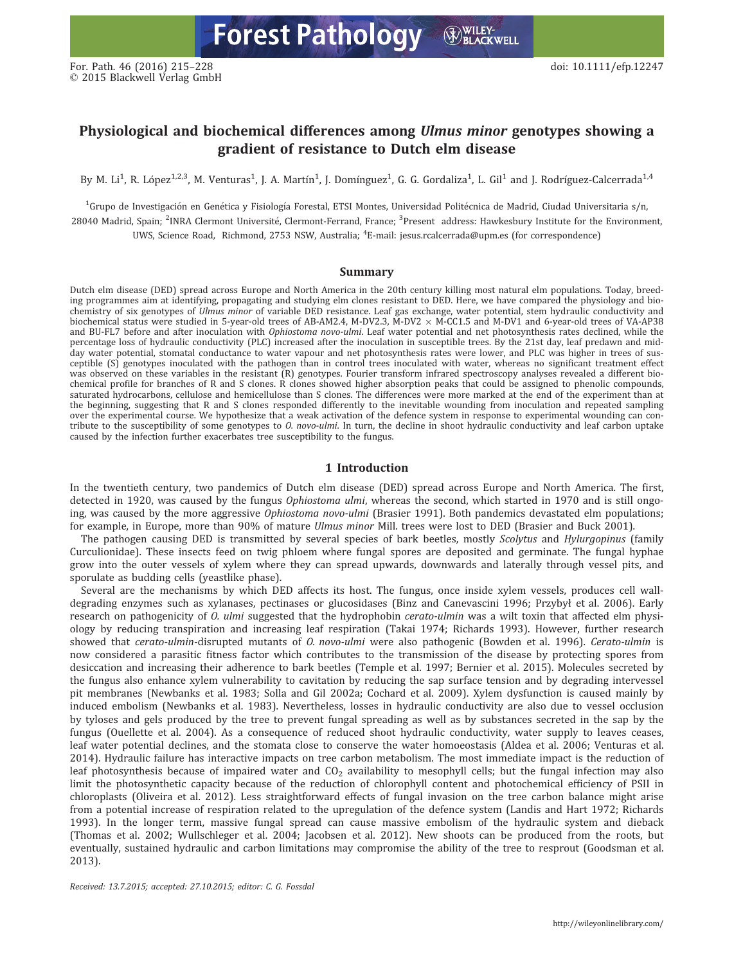# Physiological and biochemical differences among Ulmus minor genotypes showing a gradient of resistance to Dutch elm disease

By M. Li<sup>1</sup>, R. López<sup>1,2,3</sup>, M. Venturas<sup>1</sup>, J. A. Martín<sup>1</sup>, J. Domínguez<sup>1</sup>, G. G. Gordaliza<sup>1</sup>, L. Gil<sup>1</sup> and J. Rodríguez-Calcerrada<sup>1,4</sup>

<sup>1</sup>Grupo de Investigación en Genética y Fisiología Forestal, ETSI Montes, Universidad Politécnica de Madrid, Ciudad Universitaria s/n, 28040 Madrid, Spain; <sup>2</sup>INRA Clermont Université, Clermont-Ferrand, France; <sup>3</sup>Present address: Hawkesbury Institute for the Environment, UWS, Science Road, Richmond, 2753 NSW, Australia; <sup>4</sup> E-mail: jesus.rcalcerrada@upm.es (for correspondence)

## Summary

Dutch elm disease (DED) spread across Europe and North America in the 20th century killing most natural elm populations. Today, breeding programmes aim at identifying, propagating and studying elm clones resistant to DED. Here, we have compared the physiology and biochemistry of six genotypes of Ulmus minor of variable DED resistance. Leaf gas exchange, water potential, stem hydraulic conductivity and biochemical status were studied in 5-year-old trees of AB-AM2.4, M-DV2.3, M-DV2  $\times$  M-CC1.5 and M-DV1 and 6-year-old trees of VA-AP38 and BU-FL7 before and after inoculation with Ophiostoma novo-ulmi. Leaf water potential and net photosynthesis rates declined, while the percentage loss of hydraulic conductivity (PLC) increased after the inoculation in susceptible trees. By the 21st day, leaf predawn and midday water potential, stomatal conductance to water vapour and net photosynthesis rates were lower, and PLC was higher in trees of susceptible (S) genotypes inoculated with the pathogen than in control trees inoculated with water, whereas no significant treatment effect was observed on these variables in the resistant (R) genotypes. Fourier transform infrared spectroscopy analyses revealed a different biochemical profile for branches of R and S clones. R clones showed higher absorption peaks that could be assigned to phenolic compounds, saturated hydrocarbons, cellulose and hemicellulose than S clones. The differences were more marked at the end of the experiment than at the beginning, suggesting that R and S clones responded differently to the inevitable wounding from inoculation and repeated sampling over the experimental course. We hypothesize that a weak activation of the defence system in response to experimental wounding can contribute to the susceptibility of some genotypes to *O. novo-ulmi*. In turn, the decline in shoot hydraulic conductivity and leaf carbon uptake caused by the infection further exacerbates tree susceptibility to the fungus.

# 1 Introduction

In the twentieth century, two pandemics of Dutch elm disease (DED) spread across Europe and North America. The first, detected in 1920, was caused by the fungus Ophiostoma ulmi, whereas the second, which started in 1970 and is still ongoing, was caused by the more aggressive Ophiostoma novo-ulmi (Brasier 1991). Both pandemics devastated elm populations; for example, in Europe, more than 90% of mature Ulmus minor Mill. trees were lost to DED (Brasier and Buck 2001).

The pathogen causing DED is transmitted by several species of bark beetles, mostly Scolytus and Hylurgopinus (family Curculionidae). These insects feed on twig phloem where fungal spores are deposited and germinate. The fungal hyphae grow into the outer vessels of xylem where they can spread upwards, downwards and laterally through vessel pits, and sporulate as budding cells (yeastlike phase).

Several are the mechanisms by which DED affects its host. The fungus, once inside xylem vessels, produces cell walldegrading enzymes such as xylanases, pectinases or glucosidases (Binz and Canevascini 1996; Przybył et al. 2006). Early research on pathogenicity of O. ulmi suggested that the hydrophobin cerato-ulmin was a wilt toxin that affected elm physiology by reducing transpiration and increasing leaf respiration (Takai 1974; Richards 1993). However, further research showed that cerato-ulmin-disrupted mutants of *0. novo-ulmi* were also pathogenic (Bowden et al. 1996). Cerato-ulmin is now considered a parasitic fitness factor which contributes to the transmission of the disease by protecting spores from desiccation and increasing their adherence to bark beetles (Temple et al. 1997; Bernier et al. 2015). Molecules secreted by the fungus also enhance xylem vulnerability to cavitation by reducing the sap surface tension and by degrading intervessel pit membranes (Newbanks et al. 1983; Solla and Gil 2002a; Cochard et al. 2009). Xylem dysfunction is caused mainly by induced embolism (Newbanks et al. 1983). Nevertheless, losses in hydraulic conductivity are also due to vessel occlusion by tyloses and gels produced by the tree to prevent fungal spreading as well as by substances secreted in the sap by the fungus (Ouellette et al. 2004). As a consequence of reduced shoot hydraulic conductivity, water supply to leaves ceases, leaf water potential declines, and the stomata close to conserve the water homoeostasis (Aldea et al. 2006; Venturas et al. 2014). Hydraulic failure has interactive impacts on tree carbon metabolism. The most immediate impact is the reduction of leaf photosynthesis because of impaired water and  $CO<sub>2</sub>$  availability to mesophyll cells; but the fungal infection may also limit the photosynthetic capacity because of the reduction of chlorophyll content and photochemical efficiency of PSII in chloroplasts (Oliveira et al. 2012). Less straightforward effects of fungal invasion on the tree carbon balance might arise from a potential increase of respiration related to the upregulation of the defence system (Landis and Hart 1972; Richards 1993). In the longer term, massive fungal spread can cause massive embolism of the hydraulic system and dieback (Thomas et al. 2002; Wullschleger et al. 2004; Jacobsen et al. 2012). New shoots can be produced from the roots, but eventually, sustained hydraulic and carbon limitations may compromise the ability of the tree to resprout (Goodsman et al. 2013).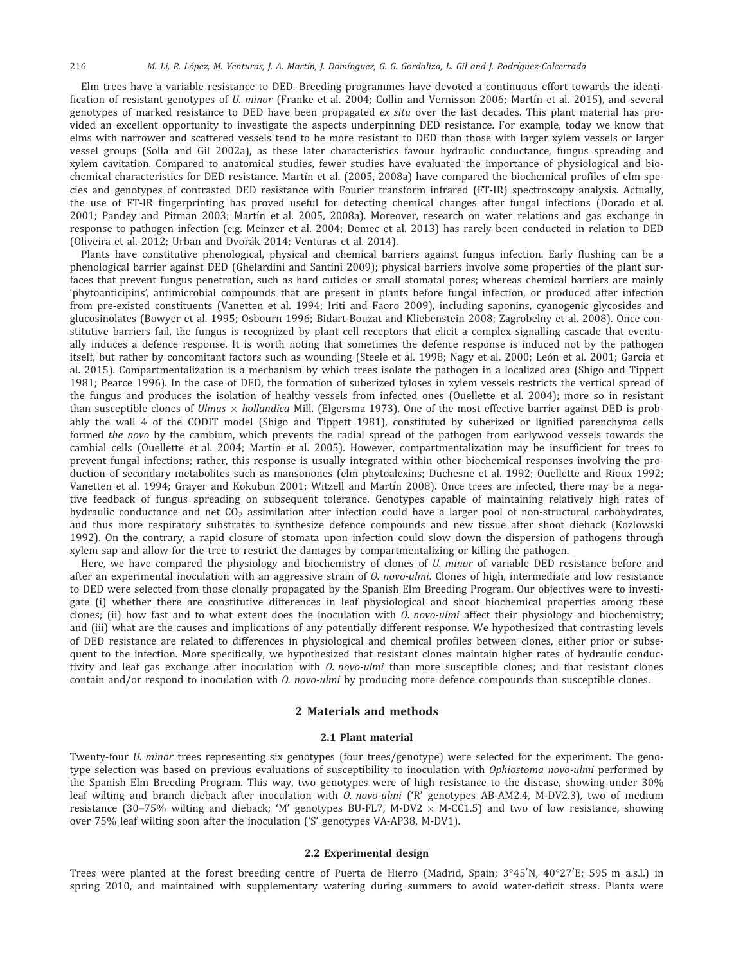Elm trees have a variable resistance to DED. Breeding programmes have devoted a continuous effort towards the identification of resistant genotypes of U. minor (Franke et al. 2004; Collin and Vernisson 2006; Martín et al. 2015), and several genotypes of marked resistance to DED have been propagated ex situ over the last decades. This plant material has provided an excellent opportunity to investigate the aspects underpinning DED resistance. For example, today we know that elms with narrower and scattered vessels tend to be more resistant to DED than those with larger xylem vessels or larger vessel groups (Solla and Gil 2002a), as these later characteristics favour hydraulic conductance, fungus spreading and xylem cavitation. Compared to anatomical studies, fewer studies have evaluated the importance of physiological and biochemical characteristics for DED resistance. Martín et al. (2005, 2008a) have compared the biochemical profiles of elm species and genotypes of contrasted DED resistance with Fourier transform infrared (FT-IR) spectroscopy analysis. Actually, the use of FT-IR fingerprinting has proved useful for detecting chemical changes after fungal infections (Dorado et al. 2001; Pandey and Pitman 2003; Martın et al. 2005, 2008a). Moreover, research on water relations and gas exchange in response to pathogen infection (e.g. Meinzer et al. 2004; Domec et al. 2013) has rarely been conducted in relation to DED (Oliveira et al. 2012; Urban and Dvořák 2014; Venturas et al. 2014).

Plants have constitutive phenological, physical and chemical barriers against fungus infection. Early flushing can be a phenological barrier against DED (Ghelardini and Santini 2009); physical barriers involve some properties of the plant surfaces that prevent fungus penetration, such as hard cuticles or small stomatal pores; whereas chemical barriers are mainly 'phytoanticipins', antimicrobial compounds that are present in plants before fungal infection, or produced after infection from pre-existed constituents (Vanetten et al. 1994; Iriti and Faoro 2009), including saponins, cyanogenic glycosides and glucosinolates (Bowyer et al. 1995; Osbourn 1996; Bidart-Bouzat and Kliebenstein 2008; Zagrobelny et al. 2008). Once constitutive barriers fail, the fungus is recognized by plant cell receptors that elicit a complex signalling cascade that eventually induces a defence response. It is worth noting that sometimes the defence response is induced not by the pathogen itself, but rather by concomitant factors such as wounding (Steele et al. 1998; Nagy et al. 2000; León et al. 2001; Garcia et al. 2015). Compartmentalization is a mechanism by which trees isolate the pathogen in a localized area (Shigo and Tippett 1981; Pearce 1996). In the case of DED, the formation of suberized tyloses in xylem vessels restricts the vertical spread of the fungus and produces the isolation of healthy vessels from infected ones (Ouellette et al. 2004); more so in resistant than susceptible clones of *Ulmus*  $\times$  *hollandica* Mill. (Elgersma 1973). One of the most effective barrier against DED is probably the wall 4 of the CODIT model (Shigo and Tippett 1981), constituted by suberized or lignified parenchyma cells formed the novo by the cambium, which prevents the radial spread of the pathogen from earlywood vessels towards the cambial cells (Ouellette et al. 2004; Martın et al. 2005). However, compartmentalization may be insufficient for trees to prevent fungal infections; rather, this response is usually integrated within other biochemical responses involving the production of secondary metabolites such as mansonones (elm phytoalexins; Duchesne et al. 1992; Ouellette and Rioux 1992; Vanetten et al. 1994; Grayer and Kokubun 2001; Witzell and Martín 2008). Once trees are infected, there may be a negative feedback of fungus spreading on subsequent tolerance. Genotypes capable of maintaining relatively high rates of hydraulic conductance and net  $CO<sub>2</sub>$  assimilation after infection could have a larger pool of non-structural carbohydrates, and thus more respiratory substrates to synthesize defence compounds and new tissue after shoot dieback (Kozlowski 1992). On the contrary, a rapid closure of stomata upon infection could slow down the dispersion of pathogens through xylem sap and allow for the tree to restrict the damages by compartmentalizing or killing the pathogen.

Here, we have compared the physiology and biochemistry of clones of U. minor of variable DED resistance before and after an experimental inoculation with an aggressive strain of *O. novo-ulmi*. Clones of high, intermediate and low resistance to DED were selected from those clonally propagated by the Spanish Elm Breeding Program. Our objectives were to investigate (i) whether there are constitutive differences in leaf physiological and shoot biochemical properties among these clones; (ii) how fast and to what extent does the inoculation with  $O.$  novo-ulmi affect their physiology and biochemistry; and (iii) what are the causes and implications of any potentially different response. We hypothesized that contrasting levels of DED resistance are related to differences in physiological and chemical profiles between clones, either prior or subsequent to the infection. More specifically, we hypothesized that resistant clones maintain higher rates of hydraulic conductivity and leaf gas exchange after inoculation with *0. novo-ulmi* than more susceptible clones; and that resistant clones contain and/or respond to inoculation with *0. novo-ulmi* by producing more defence compounds than susceptible clones.

# 2 Materials and methods

#### 2.1 Plant material

Twenty-four U. minor trees representing six genotypes (four trees/genotype) were selected for the experiment. The genotype selection was based on previous evaluations of susceptibility to inoculation with Ophiostoma novo-ulmi performed by the Spanish Elm Breeding Program. This way, two genotypes were of high resistance to the disease, showing under 30% leaf wilting and branch dieback after inoculation with O. novo-ulmi ('R' genotypes AB-AM2.4, M-DV2.3), two of medium resistance (30–75% wilting and dieback; 'M' genotypes BU-FL7, M-DV2  $\times$  M-CC1.5) and two of low resistance, showing over 75% leaf wilting soon after the inoculation ('S' genotypes VA-AP38, M-DV1).

## 2.2 Experimental design

Trees were planted at the forest breeding centre of Puerta de Hierro (Madrid, Spain;  $3^{\circ}45^{\prime}$ N,  $40^{\circ}27^{\prime}$ E; 595 m a.s.l.) in spring 2010, and maintained with supplementary watering during summers to avoid water-deficit stress. Plants were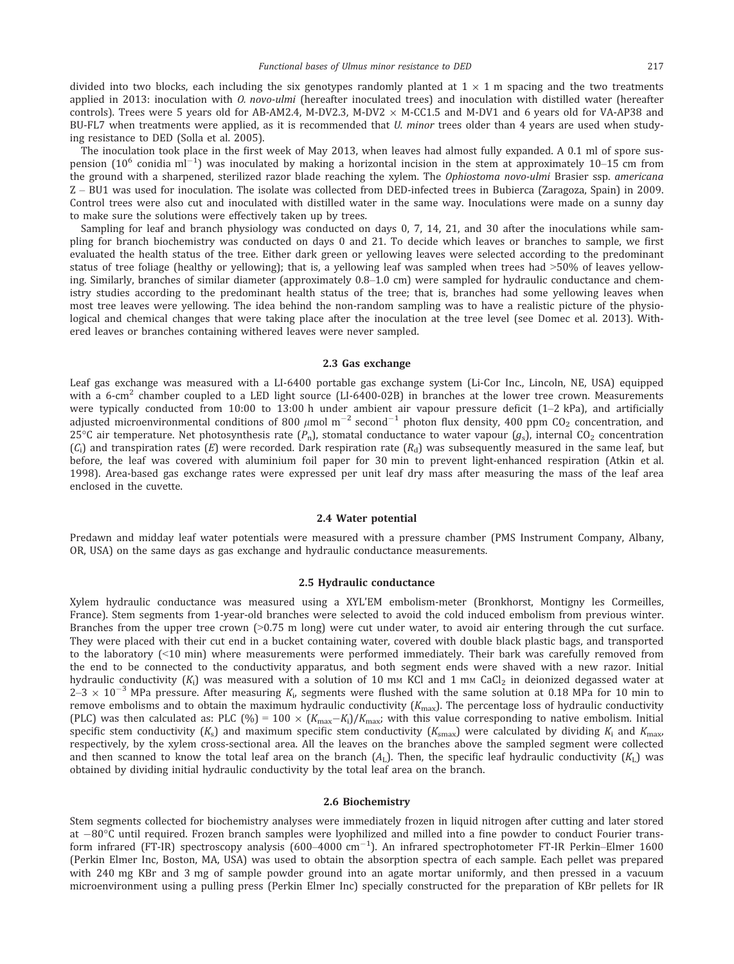divided into two blocks, each including the six genotypes randomly planted at  $1 \times 1$  m spacing and the two treatments applied in 2013: inoculation with *O. novo-ulmi* (hereafter inoculated trees) and inoculation with distilled water (hereafter controls). Trees were 5 years old for AB-AM2.4, M-DV2.3, M-DV2  $\times$  M-CC1.5 and M-DV1 and 6 years old for VA-AP38 and BU-FL7 when treatments were applied, as it is recommended that *U. minor* trees older than 4 years are used when studying resistance to DED (Solla et al. 2005).

The inoculation took place in the first week of May 2013, when leaves had almost fully expanded. A 0.1 ml of spore suspension (10 $^6$  conidia ml $^{-1})$  was inoculated by making a horizontal incision in the stem at approximately 10–15 cm from the ground with a sharpened, sterilized razor blade reaching the xylem. The Ophiostoma novo-ulmi Brasier ssp. americana Z – BU1 was used for inoculation. The isolate was collected from DED-infected trees in Bubierca (Zaragoza, Spain) in 2009. Control trees were also cut and inoculated with distilled water in the same way. Inoculations were made on a sunny day to make sure the solutions were effectively taken up by trees.

Sampling for leaf and branch physiology was conducted on days 0, 7, 14, 21, and 30 after the inoculations while sampling for branch biochemistry was conducted on days 0 and 21. To decide which leaves or branches to sample, we first evaluated the health status of the tree. Either dark green or yellowing leaves were selected according to the predominant status of tree foliage (healthy or yellowing); that is, a yellowing leaf was sampled when trees had >50% of leaves yellowing. Similarly, branches of similar diameter (approximately 0.8–1.0 cm) were sampled for hydraulic conductance and chemistry studies according to the predominant health status of the tree; that is, branches had some yellowing leaves when most tree leaves were yellowing. The idea behind the non-random sampling was to have a realistic picture of the physiological and chemical changes that were taking place after the inoculation at the tree level (see Domec et al. 2013). Withered leaves or branches containing withered leaves were never sampled.

## 2.3 Gas exchange

Leaf gas exchange was measured with a LI-6400 portable gas exchange system (Li-Cor Inc., Lincoln, NE, USA) equipped with a 6-cm<sup>2</sup> chamber coupled to a LED light source (LI-6400-02B) in branches at the lower tree crown. Measurements were typically conducted from 10:00 to 13:00 h under ambient air vapour pressure deficit (1–2 kPa), and artificially adjusted microenvironmental conditions of 800  $\mu$ mol m $^{-2}$  second $^{-1}$  photon flux density, 400 ppm CO $_2$  concentration, and 25°C air temperature. Net photosynthesis rate  $(P_n)$ , stomatal conductance to water vapour  $(g_s)$ , internal CO<sub>2</sub> concentration  $(C_i)$  and transpiration rates  $(E)$  were recorded. Dark respiration rate  $(R_d)$  was subsequently measured in the same leaf, but before, the leaf was covered with aluminium foil paper for 30 min to prevent light-enhanced respiration (Atkin et al. 1998). Area-based gas exchange rates were expressed per unit leaf dry mass after measuring the mass of the leaf area enclosed in the cuvette.

# 2.4 Water potential

Predawn and midday leaf water potentials were measured with a pressure chamber (PMS Instrument Company, Albany, OR, USA) on the same days as gas exchange and hydraulic conductance measurements.

## 2.5 Hydraulic conductance

Xylem hydraulic conductance was measured using a XYL'EM embolism-meter (Bronkhorst, Montigny les Cormeilles, France). Stem segments from 1-year-old branches were selected to avoid the cold induced embolism from previous winter. Branches from the upper tree crown (>0.75 m long) were cut under water, to avoid air entering through the cut surface. They were placed with their cut end in a bucket containing water, covered with double black plastic bags, and transported to the laboratory (<10 min) where measurements were performed immediately. Their bark was carefully removed from the end to be connected to the conductivity apparatus, and both segment ends were shaved with a new razor. Initial hydraulic conductivity  $(K_i)$  was measured with a solution of 10 mm KCl and 1 mm CaCl<sub>2</sub> in deionized degassed water at 2–3  $\times$  10<sup>–3</sup> MPa pressure. After measuring  $K_{\rm i}$ , segments were flushed with the same solution at 0.18 MPa for 10 min to remove embolisms and to obtain the maximum hydraulic conductivity  $(K_{\text{max}})$ . The percentage loss of hydraulic conductivity (PLC) was then calculated as: PLC (%) = 100  $\times$  ( $K_{\text{max}}-K_i$ )/ $K_{\text{max}}$ ; with this value corresponding to native embolism. Initial specific stem conductivity  $(K_s)$  and maximum specific stem conductivity  $(K_{\text{smax}})$  were calculated by dividing  $K_i$  and  $K_{\text{max}}$ respectively, by the xylem cross-sectional area. All the leaves on the branches above the sampled segment were collected and then scanned to know the total leaf area on the branch  $(A_L)$ . Then, the specific leaf hydraulic conductivity  $(K_L)$  was obtained by dividing initial hydraulic conductivity by the total leaf area on the branch.

### 2.6 Biochemistry

Stem segments collected for biochemistry analyses were immediately frozen in liquid nitrogen after cutting and later stored at  $-80^{\circ}$ C until required. Frozen branch samples were lyophilized and milled into a fine powder to conduct Fourier transform infrared (FT-IR) spectroscopy analysis (600–4000 cm<sup>-1</sup>). An infrared spectrophotometer FT-IR Perkin–Elmer 1600 (Perkin Elmer Inc, Boston, MA, USA) was used to obtain the absorption spectra of each sample. Each pellet was prepared with 240 mg KBr and 3 mg of sample powder ground into an agate mortar uniformly, and then pressed in a vacuum microenvironment using a pulling press (Perkin Elmer Inc) specially constructed for the preparation of KBr pellets for IR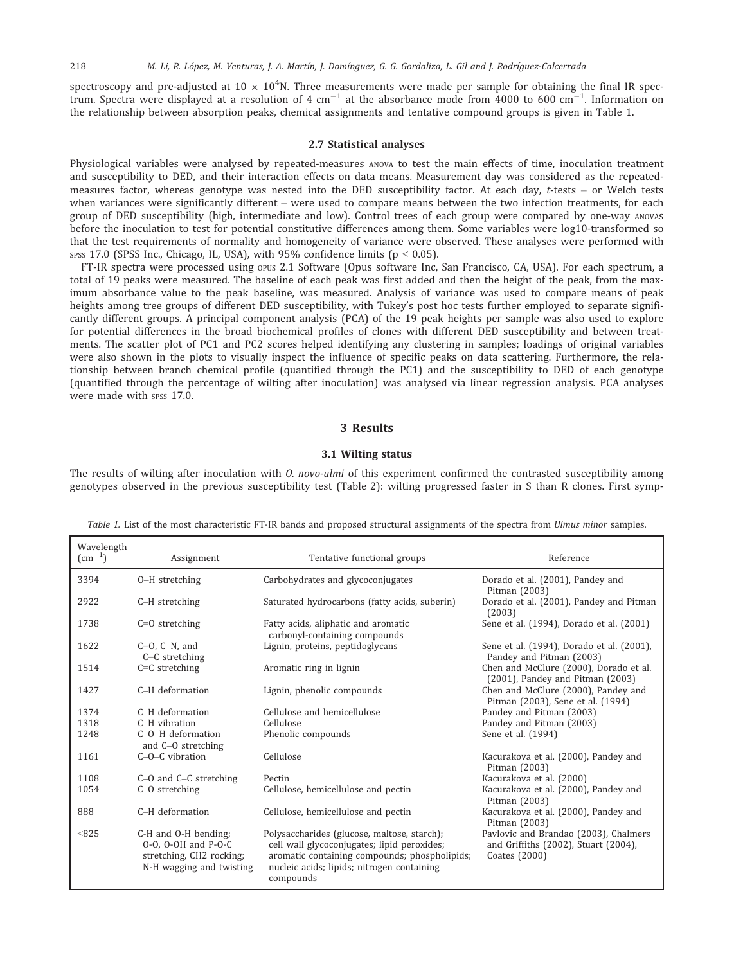spectroscopy and pre-adjusted at 10  $\times$  10<sup>4</sup>N. Three measurements were made per sample for obtaining the final IR spectrum. Spectra were displayed at a resolution of 4  $\rm cm^{-1}$  at the absorbance mode from 4000 to 600  $\rm cm^{-1}$ . Information on the relationship between absorption peaks, chemical assignments and tentative compound groups is given in Table 1.

## 2.7 Statistical analyses

Physiological variables were analysed by repeated-measures ANOVA to test the main effects of time, inoculation treatment and susceptibility to DED, and their interaction effects on data means. Measurement day was considered as the repeatedmeasures factor, whereas genotype was nested into the DED susceptibility factor. At each day, t-tests – or Welch tests when variances were significantly different – were used to compare means between the two infection treatments, for each group of DED susceptibility (high, intermediate and low). Control trees of each group were compared by one-way ANOVAs before the inoculation to test for potential constitutive differences among them. Some variables were log10-transformed so that the test requirements of normality and homogeneity of variance were observed. These analyses were performed with spss 17.0 (SPSS Inc., Chicago, IL, USA), with 95% confidence limits ( $p < 0.05$ ).

FT-IR spectra were processed using opus 2.1 Software (Opus software Inc, San Francisco, CA, USA). For each spectrum, a total of 19 peaks were measured. The baseline of each peak was first added and then the height of the peak, from the maximum absorbance value to the peak baseline, was measured. Analysis of variance was used to compare means of peak heights among tree groups of different DED susceptibility, with Tukey's post hoc tests further employed to separate significantly different groups. A principal component analysis (PCA) of the 19 peak heights per sample was also used to explore for potential differences in the broad biochemical profiles of clones with different DED susceptibility and between treatments. The scatter plot of PC1 and PC2 scores helped identifying any clustering in samples; loadings of original variables were also shown in the plots to visually inspect the influence of specific peaks on data scattering. Furthermore, the relationship between branch chemical profile (quantified through the PC1) and the susceptibility to DED of each genotype (quantified through the percentage of wilting after inoculation) was analysed via linear regression analysis. PCA analyses were made with spss 17.0.

# 3 Results

# 3.1 Wilting status

The results of wilting after inoculation with *O. novo-ulmi* of this experiment confirmed the contrasted susceptibility among genotypes observed in the previous susceptibility test (Table 2): wilting progressed faster in S than R clones. First symp-

Wavelength  $\rm\,/cm^{-1}$ Assignment Tentative functional groups Reference 3394 O–H stretching Carbohydrates and glycoconjugates Dorado et al. (2001), Pandey and Pitman (2003)<br>Dorado et al. (2001), Pandey and Pitman 2922 C–H stretching Saturated hydrocarbons (fatty acids, suberin) (2003) 1738 C=O stretching Fatty acids, aliphatic and aromatic carbonyl-containing compounds<br>Lignin, proteins, peptidoglycans Sene et al. (1994), Dorado et al. (2001) 1622 C=O, C–N, and C=C stretching<br>C=C stretching Sene et al. (1994), Dorado et al. (2001), Pandey and Pitman (2003) 1514 C=C stretching Aromatic ring in lignin Chen and McClure (2000), Dorado et al. (2001), Pandey and Pitman (2003) 1427 C–H deformation Lignin, phenolic compounds Chen and McClure (2000), Pandey and Pitman (2003), Sene et al. (1994) 1374 C–H deformation Cellulose and hemicellulose Pandey and Pitman (2003)<br>1318 C–H vibration Cellulose Cellulose Pandey and Pitman (2003) Pandey and Pitman (2003) 1248 C–O–H deformation and C–O stretching Phenolic compounds Sene et al. (1994) 1161 C–O–C vibration Cellulose Kacurakova et al. (2000), Pandey and Pitman (2003) 1108 C–O and C–C stretching Pectin Pectin Bectin C–O stretching Pectin Cellulose, hemicellulose and pectin Kacurakova et al. (2000) Kacurakova et al. (2000), Pandey and Pitman (2003) 888 C–H deformation Cellulose, hemicellulose and pectin Kacurakova et al. (2000), Pandey and Pitman (2003) <825 C-H and O-H bending; O-O, O-OH and P-O-C stretching, CH2 rocking; N-H wagging and twisting Polysaccharides (glucose, maltose, starch); cell wall glycoconjugates; lipid peroxides; aromatic containing compounds; phospholipids; nucleic acids; lipids; nitrogen containing compounds Pavlovic and Brandao (2003), Chalmers and Griffiths (2002), Stuart (2004), Coates (2000)

Table 1. List of the most characteristic FT-IR bands and proposed structural assignments of the spectra from Ulmus minor samples.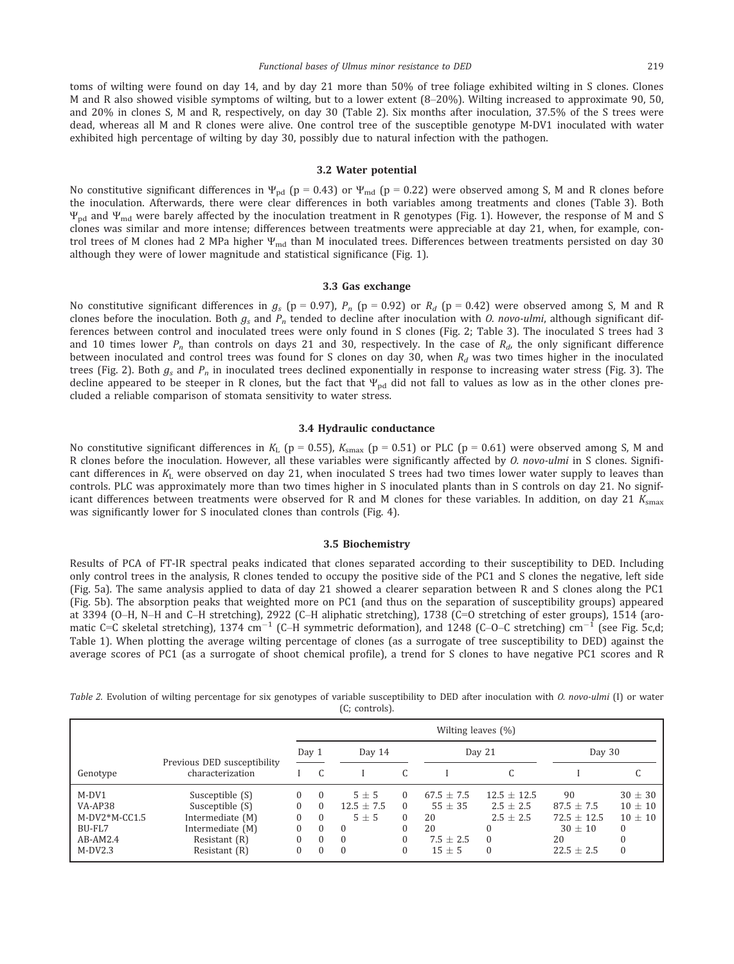toms of wilting were found on day 14, and by day 21 more than 50% of tree foliage exhibited wilting in S clones. Clones M and R also showed visible symptoms of wilting, but to a lower extent (8–20%). Wilting increased to approximate 90, 50, and 20% in clones S, M and R, respectively, on day 30 (Table 2). Six months after inoculation, 37.5% of the S trees were dead, whereas all M and R clones were alive. One control tree of the susceptible genotype M-DV1 inoculated with water exhibited high percentage of wilting by day 30, possibly due to natural infection with the pathogen.

#### 3.2 Water potential

No constitutive significant differences in  $\Psi_{pd}$  (p = 0.43) or  $\Psi_{md}$  (p = 0.22) were observed among S, M and R clones before the inoculation. Afterwards, there were clear differences in both variables among treatments and clones (Table 3). Both  $\Psi_{\rm pd}$  and  $\Psi_{\rm md}$  were barely affected by the inoculation treatment in R genotypes (Fig. 1). However, the response of M and S clones was similar and more intense; differences between treatments were appreciable at day 21, when, for example, control trees of M clones had 2 MPa higher  $\Psi_{\text{md}}$  than M inoculated trees. Differences between treatments persisted on day 30 although they were of lower magnitude and statistical significance (Fig. 1).

### 3.3 Gas exchange

No constitutive significant differences in  $g_s$  (p = 0.97),  $P_n$  (p = 0.92) or  $R_d$  (p = 0.42) were observed among S, M and R clones before the inoculation. Both  $g_s$  and  $P_n$  tended to decline after inoculation with O. novo-ulmi, although significant differences between control and inoculated trees were only found in S clones (Fig. 2; Table 3). The inoculated S trees had 3 and 10 times lower  $P_n$  than controls on days 21 and 30, respectively. In the case of  $R_d$ , the only significant difference between inoculated and control trees was found for S clones on day 30, when  $R_d$  was two times higher in the inoculated trees (Fig. 2). Both  $g_s$  and  $P_n$  in inoculated trees declined exponentially in response to increasing water stress (Fig. 3). The decline appeared to be steeper in R clones, but the fact that  $\Psi_{\text{pd}}$  did not fall to values as low as in the other clones precluded a reliable comparison of stomata sensitivity to water stress.

# 3.4 Hydraulic conductance

No constitutive significant differences in  $K_L$  (p = 0.55),  $K_{\text{smax}}$  (p = 0.51) or PLC (p = 0.61) were observed among S, M and R clones before the inoculation. However, all these variables were significantly affected by O. novo-ulmi in S clones. Significant differences in  $K_L$  were observed on day 21, when inoculated S trees had two times lower water supply to leaves than controls. PLC was approximately more than two times higher in S inoculated plants than in S controls on day 21. No significant differences between treatments were observed for R and M clones for these variables. In addition, on day 21  $K_{\text{smax}}$ was significantly lower for S inoculated clones than controls (Fig. 4).

### 3.5 Biochemistry

Results of PCA of FT-IR spectral peaks indicated that clones separated according to their susceptibility to DED. Including only control trees in the analysis, R clones tended to occupy the positive side of the PC1 and S clones the negative, left side (Fig. 5a). The same analysis applied to data of day 21 showed a clearer separation between R and S clones along the PC1 (Fig. 5b). The absorption peaks that weighted more on PC1 (and thus on the separation of susceptibility groups) appeared at 3394 (O–H, N–H and C–H stretching), 2922 (C–H aliphatic stretching), 1738 (C=O stretching of ester groups), 1514 (aromatic C=C skeletal stretching), 1374  $cm^{-1}$  (C–H symmetric deformation), and 1248 (C–O–C stretching)  $cm^{-1}$  (see Fig. 5c,d; Table 1). When plotting the average wilting percentage of clones (as a surrogate of tree susceptibility to DED) against the average scores of PC1 (as a surrogate of shoot chemical profile), a trend for S clones to have negative PC1 scores and R

|                                                                          |                                                                                                              | Wilting leaves (%)                                                   |                                                                      |                                                                        |                                                        |                                                                  |                                                                     |                                                                            |                                                                                       |
|--------------------------------------------------------------------------|--------------------------------------------------------------------------------------------------------------|----------------------------------------------------------------------|----------------------------------------------------------------------|------------------------------------------------------------------------|--------------------------------------------------------|------------------------------------------------------------------|---------------------------------------------------------------------|----------------------------------------------------------------------------|---------------------------------------------------------------------------------------|
|                                                                          |                                                                                                              | Day 1                                                                |                                                                      | Day $14$                                                               |                                                        | Day $21$                                                         |                                                                     | Day $30$                                                                   |                                                                                       |
| Genotype                                                                 | Previous DED susceptibility<br>characterization                                                              |                                                                      |                                                                      |                                                                        | C                                                      |                                                                  |                                                                     |                                                                            |                                                                                       |
| M-DV1<br>VA-AP38<br>$M-DV2*M-CC1.5$<br>BU-FL7<br>$AB-AM2.4$<br>$M-DV2.3$ | Susceptible (S)<br>Susceptible (S)<br>Intermediate (M)<br>Intermediate (M)<br>Resistant (R)<br>Resistant (R) | $\Omega$<br>$\left($<br>$\Omega$<br>$\Omega$<br>$\Omega$<br>$\Omega$ | $\theta$<br>$\Omega$<br>$\Omega$<br>$\Omega$<br>$\Omega$<br>$\Omega$ | $5 + 5$<br>$12.5 + 7.5$<br>$5 + 5$<br>$\Omega$<br>$\Omega$<br>$\Omega$ | $\Omega$<br>$\Omega$<br>$\Omega$<br>0<br>$\theta$<br>0 | $67.5 + 7.5$<br>$55 + 35$<br>20<br>20<br>$7.5 + 2.5$<br>$15 + 5$ | $12.5 + 12.5$<br>$2.5 + 2.5$<br>$2.5 + 2.5$<br>$\Omega$<br>$\Omega$ | 90<br>$87.5 + 7.5$<br>$72.5 \pm 12.5$<br>$30 + 10$<br>20<br>$22.5 \pm 2.5$ | $30 \pm 30$<br>$10 + 10$<br>$10 + 10$<br>$\mathbf{0}$<br>$\mathbf{0}$<br>$\mathbf{0}$ |
|                                                                          |                                                                                                              |                                                                      |                                                                      |                                                                        |                                                        |                                                                  |                                                                     |                                                                            |                                                                                       |

Table 2. Evolution of wilting percentage for six genotypes of variable susceptibility to DED after inoculation with 0. novo-ulmi (I) or water  $(C:$  controls).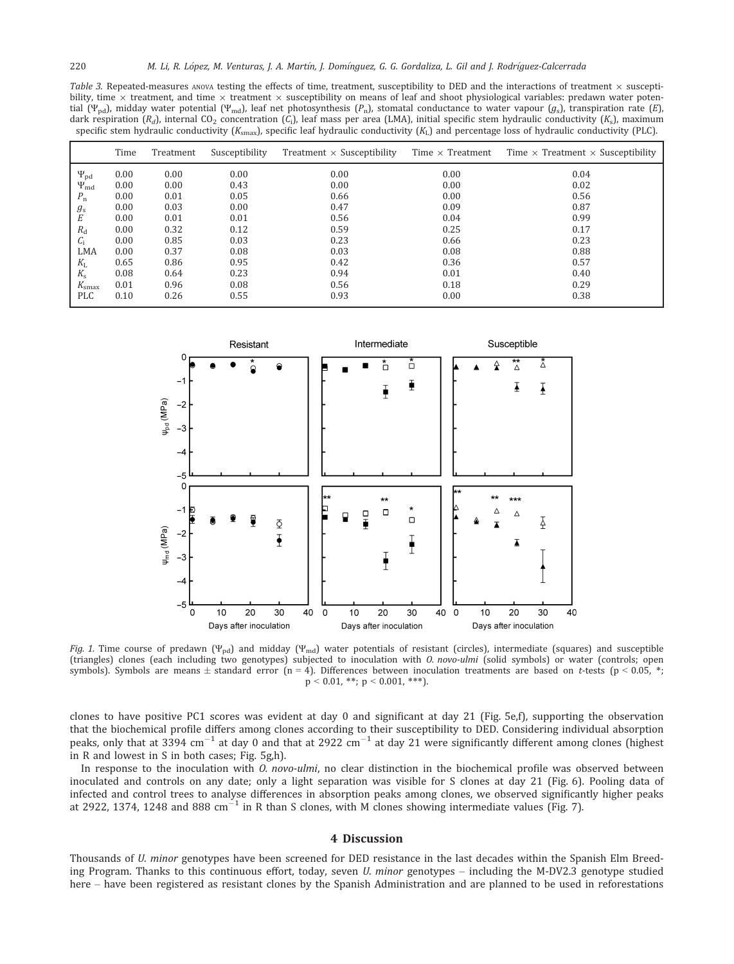Table 3. Repeated-measures ANOVA testing the effects of time, treatment, susceptibility to DED and the interactions of treatment  $\times$  susceptibility, time  $\times$  treatment, and time  $\times$  treatment  $\times$  susceptibility on means of leaf and shoot physiological variables: predawn water potential (Ψ<sub>pd</sub>), midday water potential (Ψ<sub>md</sub>), leaf net photosynthesis (P<sub>n</sub>), stomatal conductance to water vapour (g<sub>s</sub>), transpiration rate (E), dark respiration  $(R_d)$ , internal CO<sub>2</sub> concentration  $(C_i)$ , leaf mass per area (LMA), initial specific stem hydraulic conductivity  $(K_s)$ , maximum specific stem hydraulic conductivity  $(K_{\text{smax}})$ , specific leaf hydraulic conductivity  $(K_L)$  and percentage loss of hydraulic conductivity (PLC).

|                    | Time | Treatment | Susceptibility | Treatment $\times$ Susceptibility | Time $\times$ Treatment | Time $\times$ Treatment $\times$ Susceptibility |
|--------------------|------|-----------|----------------|-----------------------------------|-------------------------|-------------------------------------------------|
| $\Psi_{pd}$        | 0.00 | 0.00      | 0.00           | 0.00                              | 0.00                    | 0.04                                            |
| $\Psi_{\text{md}}$ | 0.00 | 0.00      | 0.43           | 0.00                              | 0.00                    | 0.02                                            |
| $P_{\rm n}$        | 0.00 | 0.01      | 0.05           | 0.66                              | 0.00                    | 0.56                                            |
| $g_{s}$            | 0.00 | 0.03      | 0.00           | 0.47                              | 0.09                    | 0.87                                            |
| Е                  | 0.00 | 0.01      | 0.01           | 0.56                              | 0.04                    | 0.99                                            |
| $R_{\rm d}$        | 0.00 | 0.32      | 0.12           | 0.59                              | 0.25                    | 0.17                                            |
| $C_i$              | 0.00 | 0.85      | 0.03           | 0.23                              | 0.66                    | 0.23                                            |
| LMA                | 0.00 | 0.37      | 0.08           | 0.03                              | 0.08                    | 0.88                                            |
| $K_{\rm L}$        | 0.65 | 0.86      | 0.95           | 0.42                              | 0.36                    | 0.57                                            |
| $K_{\rm s}$        | 0.08 | 0.64      | 0.23           | 0.94                              | 0.01                    | 0.40                                            |
| $K_{\rm smax}$     | 0.01 | 0.96      | 0.08           | 0.56                              | 0.18                    | 0.29                                            |
| <b>PLC</b>         | 0.10 | 0.26      | 0.55           | 0.93                              | 0.00                    | 0.38                                            |



Fig. 1. Time course of predawn  $(\Psi_{\text{pd}})$  and midday  $(\Psi_{\text{md}})$  water potentials of resistant (circles), intermediate (squares) and susceptible (triangles) clones (each including two genotypes) subjected to inoculation with O. novo-ulmi (solid symbols) or water (controls; open symbols). Symbols are means  $\pm$  standard error (n = 4). Differences between inoculation treatments are based on t-tests (p < 0.05, \*;  $p < 0.01$ , \*\*;  $p < 0.001$ , \*\*\*).

clones to have positive PC1 scores was evident at day 0 and significant at day 21 (Fig. 5e,f), supporting the observation that the biochemical profile differs among clones according to their susceptibility to DED. Considering individual absorption peaks, only that at 3394  $cm^{-1}$  at day 0 and that at 2922  $cm^{-1}$  at day 21 were significantly different among clones (highest in R and lowest in S in both cases; Fig. 5g,h).

In response to the inoculation with O. novo-ulmi, no clear distinction in the biochemical profile was observed between inoculated and controls on any date; only a light separation was visible for S clones at day 21 (Fig. 6). Pooling data of infected and control trees to analyse differences in absorption peaks among clones, we observed significantly higher peaks at 2922, 1374, 1248 and 888 cm $^{-1}$  in R than S clones, with M clones showing intermediate values (Fig. 7).

### 4 Discussion

Thousands of U. minor genotypes have been screened for DED resistance in the last decades within the Spanish Elm Breeding Program. Thanks to this continuous effort, today, seven U. minor genotypes – including the M-DV2.3 genotype studied here – have been registered as resistant clones by the Spanish Administration and are planned to be used in reforestations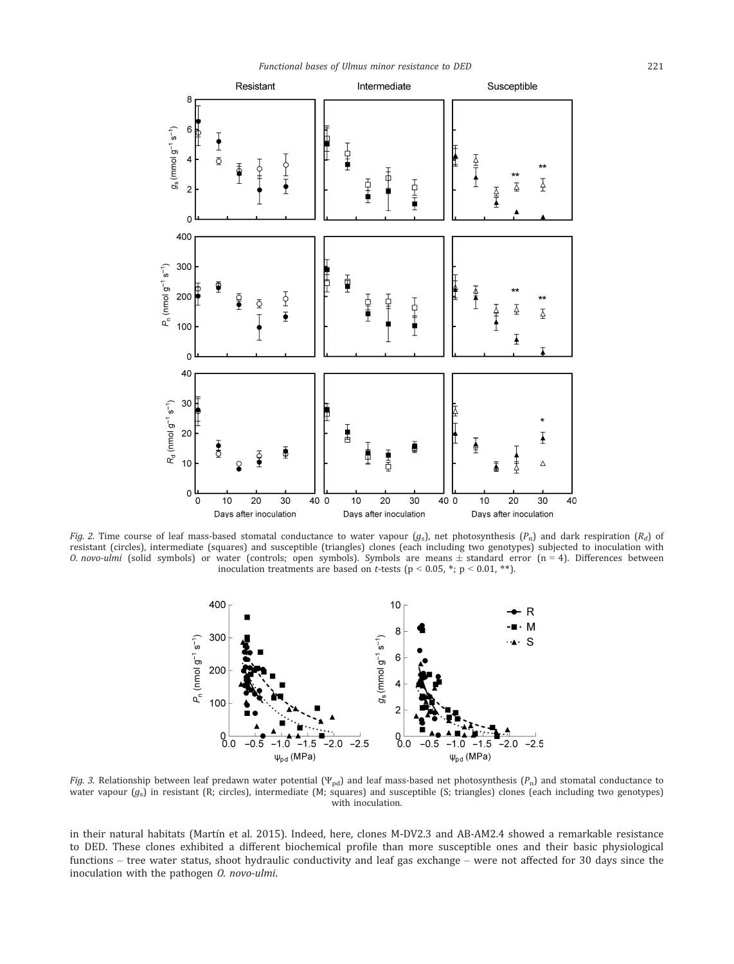

Fig. 2. Time course of leaf mass-based stomatal conductance to water vapour  $(g_s)$ , net photosynthesis  $(P_n)$  and dark respiration  $(R_d)$  of resistant (circles), intermediate (squares) and susceptible (triangles) clones (each including two genotypes) subjected to inoculation with O. novo-ulmi (solid symbols) or water (controls; open symbols). Symbols are means  $\pm$  standard error (n = 4). Differences between inoculation treatments are based on *t*-tests ( $p < 0.05$ , \*;  $p < 0.01$ , \*\*).



Fig. 3. Relationship between leaf predawn water potential (Ψ<sub>pd</sub>) and leaf mass-based net photosynthesis (P<sub>n</sub>) and stomatal conductance to water vapour  $(g_s)$  in resistant (R; circles), intermediate (M; squares) and susceptible (S; triangles) clones (each including two genotypes) with inoculation.

in their natural habitats (Martín et al. 2015). Indeed, here, clones M-DV2.3 and AB-AM2.4 showed a remarkable resistance to DED. These clones exhibited a different biochemical profile than more susceptible ones and their basic physiological functions – tree water status, shoot hydraulic conductivity and leaf gas exchange – were not affected for 30 days since the inoculation with the pathogen O. novo-ulmi.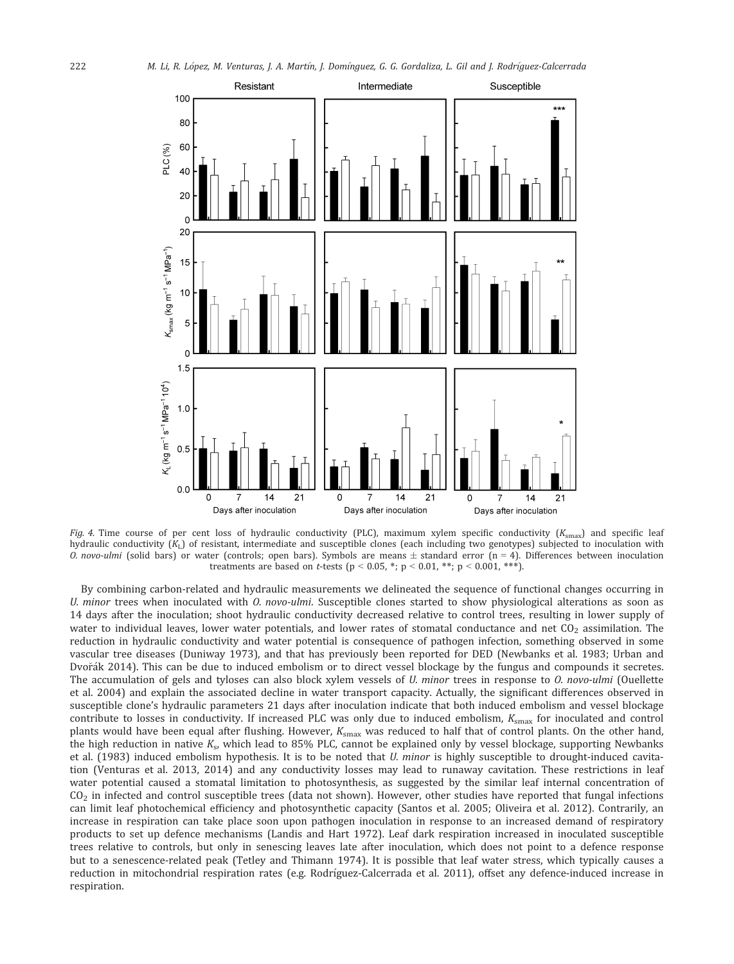

Fig. 4. Time course of per cent loss of hydraulic conductivity (PLC), maximum xylem specific conductivity  $(K_{\text{smax}})$  and specific leaf hydraulic conductivity  $(K_L)$  of resistant, intermediate and susceptible clones (each including two genotypes) subjected to inoculation with O. novo-ulmi (solid bars) or water (controls; open bars). Symbols are means  $\pm$  standard error (n = 4). Differences between inoculation treatments are based on *t*-tests ( $p < 0.05$ , \*;  $p < 0.01$ , \*\*;  $p < 0.001$ , \*\*\*).

By combining carbon-related and hydraulic measurements we delineated the sequence of functional changes occurring in U. minor trees when inoculated with  $O.$  novo-ulmi. Susceptible clones started to show physiological alterations as soon as 14 days after the inoculation; shoot hydraulic conductivity decreased relative to control trees, resulting in lower supply of water to individual leaves, lower water potentials, and lower rates of stomatal conductance and net  $CO<sub>2</sub>$  assimilation. The reduction in hydraulic conductivity and water potential is consequence of pathogen infection, something observed in some vascular tree diseases (Duniway 1973), and that has previously been reported for DED (Newbanks et al. 1983; Urban and Dvořák 2014). This can be due to induced embolism or to direct vessel blockage by the fungus and compounds it secretes. The accumulation of gels and tyloses can also block xylem vessels of U. minor trees in response to O. novo-ulmi (Ouellette et al. 2004) and explain the associated decline in water transport capacity. Actually, the significant differences observed in susceptible clone's hydraulic parameters 21 days after inoculation indicate that both induced embolism and vessel blockage contribute to losses in conductivity. If increased PLC was only due to induced embolism,  $K_{\text{smax}}$  for inoculated and control plants would have been equal after flushing. However,  $K_{\text{smax}}$  was reduced to half that of control plants. On the other hand, the high reduction in native  $K_s$ , which lead to 85% PLC, cannot be explained only by vessel blockage, supporting Newbanks et al. (1983) induced embolism hypothesis. It is to be noted that U. minor is highly susceptible to drought-induced cavitation (Venturas et al. 2013, 2014) and any conductivity losses may lead to runaway cavitation. These restrictions in leaf water potential caused a stomatal limitation to photosynthesis, as suggested by the similar leaf internal concentration of  $CO<sub>2</sub>$  in infected and control susceptible trees (data not shown). However, other studies have reported that fungal infections can limit leaf photochemical efficiency and photosynthetic capacity (Santos et al. 2005; Oliveira et al. 2012). Contrarily, an increase in respiration can take place soon upon pathogen inoculation in response to an increased demand of respiratory products to set up defence mechanisms (Landis and Hart 1972). Leaf dark respiration increased in inoculated susceptible trees relative to controls, but only in senescing leaves late after inoculation, which does not point to a defence response but to a senescence-related peak (Tetley and Thimann 1974). It is possible that leaf water stress, which typically causes a reduction in mitochondrial respiration rates (e.g. Rodríguez-Calcerrada et al. 2011), offset any defence-induced increase in respiration.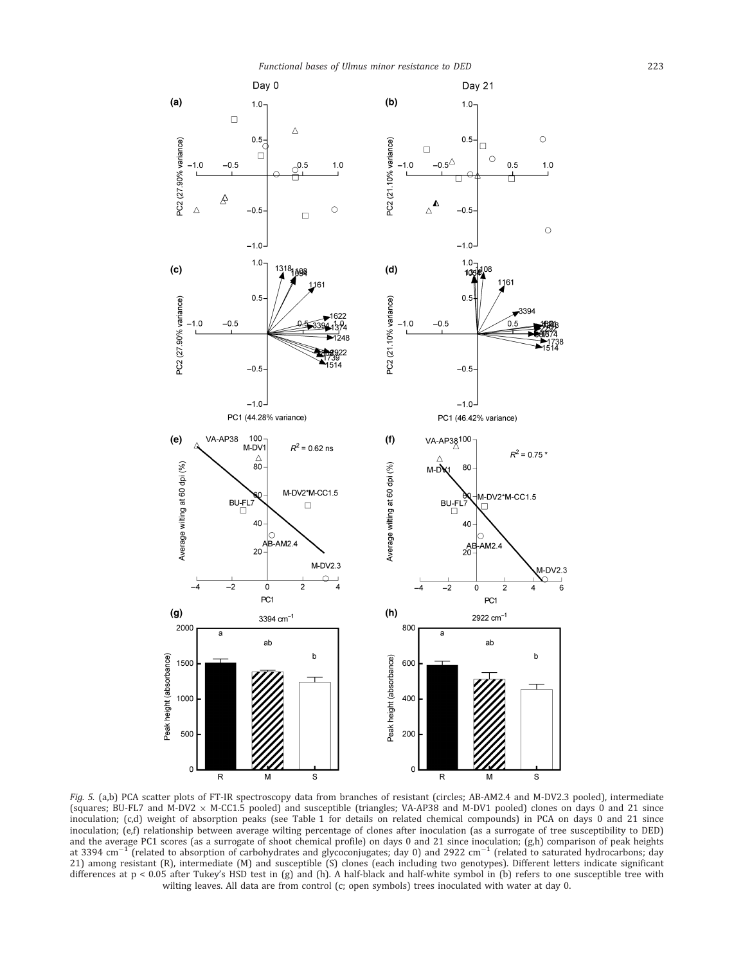

Fig. 5. (a,b) PCA scatter plots of FT-IR spectroscopy data from branches of resistant (circles; AB-AM2.4 and M-DV2.3 pooled), intermediate (squares; BU-FL7 and M-DV2 x M-CC1.5 pooled) and susceptible (triangles; VA-AP38 and M-DV1 pooled) clones on days 0 and 21 since inoculation; (c,d) weight of absorption peaks (see Table 1 for details on related chemical compounds) in PCA on days 0 and 21 since inoculation; (e,f) relationship between average wilting percentage of clones after inoculation (as a surrogate of tree susceptibility to DED) and the average PC1 scores (as a surrogate of shoot chemical profile) on days 0 and 21 since inoculation; (g,h) comparison of peak heights at 3394 cm<sup>-1</sup> (related to absorption of carbohydrates and glycoconjugates; day 0) and 2922 cm<sup>-1</sup> (related to saturated hydrocarbons; day 21) among resistant (R), intermediate (M) and susceptible (S) clones (each including two genotypes). Different letters indicate significant differences at p < 0.05 after Tukey's HSD test in (g) and (h). A half-black and half-white symbol in (b) refers to one susceptible tree with wilting leaves. All data are from control (c; open symbols) trees inoculated with water at day 0.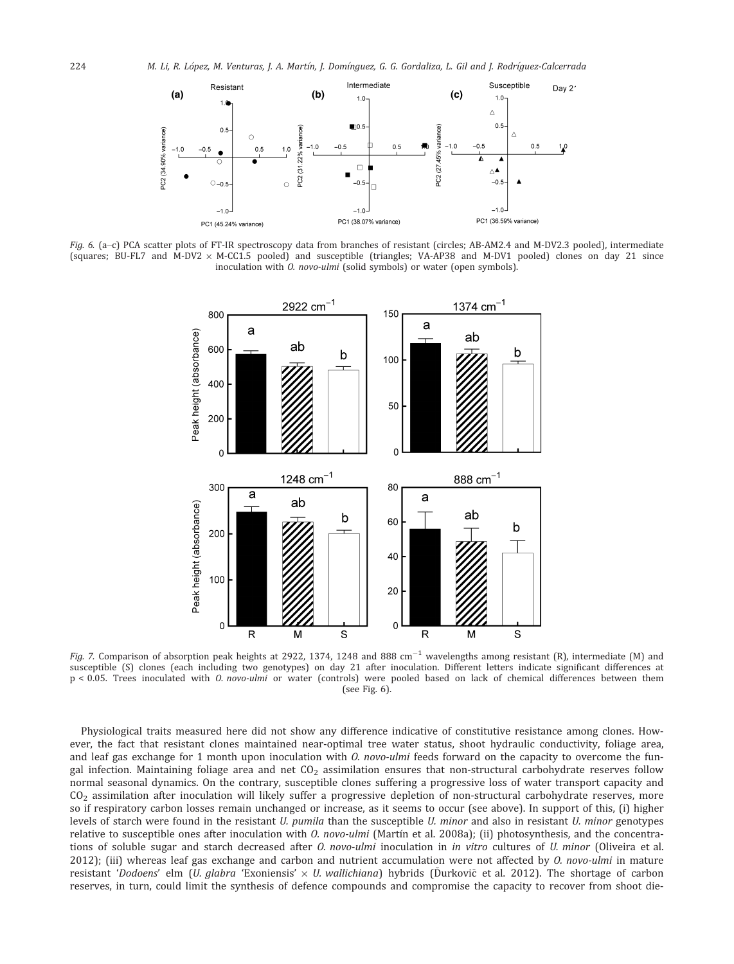

Fig. 6. (a-c) PCA scatter plots of FT-IR spectroscopy data from branches of resistant (circles; AB-AM2.4 and M-DV2.3 pooled), intermediate (squares; BU-FL7 and M-DV2  $\times$  M-CC1.5 pooled) and susceptible (triangles; VA-AP38 and M-DV1 pooled) clones on day 21 since inoculation with O. novo-ulmi (solid symbols) or water (open symbols).



*Fig. 7.* Comparison of absorption peak heights at 2922, 1374, 1248 and 888  $\rm cm^{-1}$  wavelengths among resistant (R), intermediate (M) and susceptible (S) clones (each including two genotypes) on day 21 after inoculation. Different letters indicate significant differences at p < 0.05. Trees inoculated with O. novo-ulmi or water (controls) were pooled based on lack of chemical differences between them (see Fig. 6).

Physiological traits measured here did not show any difference indicative of constitutive resistance among clones. However, the fact that resistant clones maintained near-optimal tree water status, shoot hydraulic conductivity, foliage area, and leaf gas exchange for 1 month upon inoculation with  $O$ . novo-ulmi feeds forward on the capacity to overcome the fungal infection. Maintaining foliage area and net  $CO<sub>2</sub>$  assimilation ensures that non-structural carbohydrate reserves follow normal seasonal dynamics. On the contrary, susceptible clones suffering a progressive loss of water transport capacity and  $CO<sub>2</sub>$  assimilation after inoculation will likely suffer a progressive depletion of non-structural carbohydrate reserves, more so if respiratory carbon losses remain unchanged or increase, as it seems to occur (see above). In support of this, (i) higher levels of starch were found in the resistant U. pumila than the susceptible U. minor and also in resistant U. minor genotypes relative to susceptible ones after inoculation with O. novo-ulmi (Martín et al. 2008a); (ii) photosynthesis, and the concentrations of soluble sugar and starch decreased after *0. novo-ulmi* inoculation in *in vitro* cultures of *U. minor* (Oliveira et al. 2012); (iii) whereas leaf gas exchange and carbon and nutrient accumulation were not affected by O. novo-ulmi in mature resistant 'Dodoens' elm (U. glabra 'Exoniensis'  $\times$  U. wallichiana) hybrids (Durkovič et al. 2012). The shortage of carbon reserves, in turn, could limit the synthesis of defence compounds and compromise the capacity to recover from shoot die-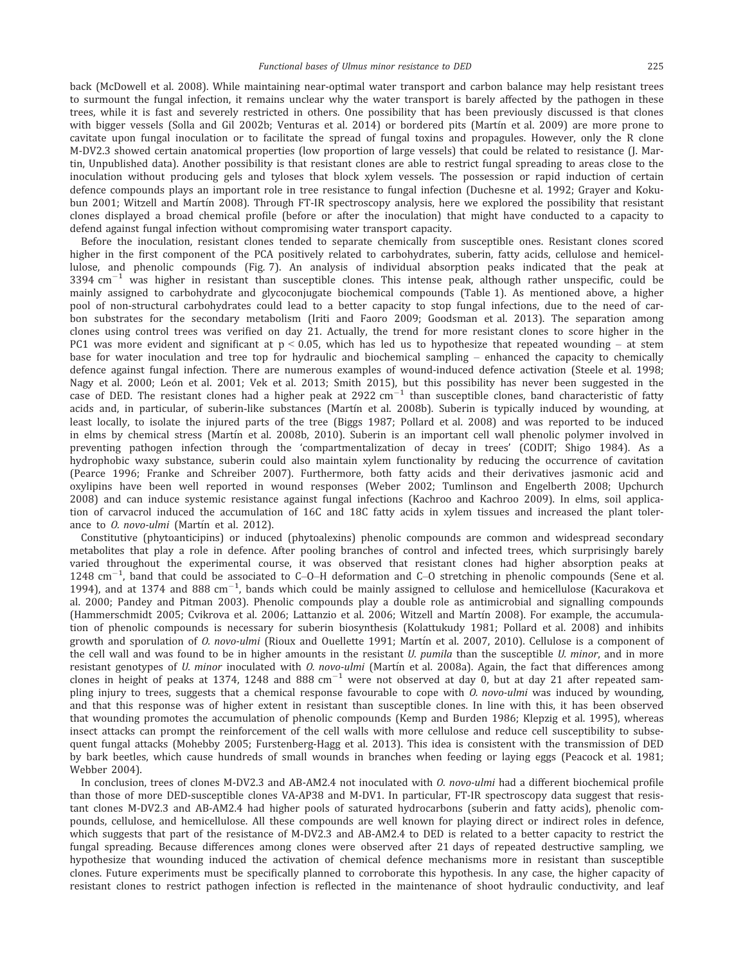back (McDowell et al. 2008). While maintaining near-optimal water transport and carbon balance may help resistant trees to surmount the fungal infection, it remains unclear why the water transport is barely affected by the pathogen in these trees, while it is fast and severely restricted in others. One possibility that has been previously discussed is that clones with bigger vessels (Solla and Gil 2002b; Venturas et al. 2014) or bordered pits (Martín et al. 2009) are more prone to cavitate upon fungal inoculation or to facilitate the spread of fungal toxins and propagules. However, only the R clone M-DV2.3 showed certain anatomical properties (low proportion of large vessels) that could be related to resistance (J. Martin, Unpublished data). Another possibility is that resistant clones are able to restrict fungal spreading to areas close to the inoculation without producing gels and tyloses that block xylem vessels. The possession or rapid induction of certain defence compounds plays an important role in tree resistance to fungal infection (Duchesne et al. 1992; Grayer and Kokubun 2001; Witzell and Martín 2008). Through FT-IR spectroscopy analysis, here we explored the possibility that resistant clones displayed a broad chemical profile (before or after the inoculation) that might have conducted to a capacity to defend against fungal infection without compromising water transport capacity.

Before the inoculation, resistant clones tended to separate chemically from susceptible ones. Resistant clones scored higher in the first component of the PCA positively related to carbohydrates, suberin, fatty acids, cellulose and hemicellulose, and phenolic compounds (Fig. 7). An analysis of individual absorption peaks indicated that the peak at 3394  $\rm cm^{-1}$  was higher in resistant than susceptible clones. This intense peak, although rather unspecific, could be mainly assigned to carbohydrate and glycoconjugate biochemical compounds (Table 1). As mentioned above, a higher pool of non-structural carbohydrates could lead to a better capacity to stop fungal infections, due to the need of carbon substrates for the secondary metabolism (Iriti and Faoro 2009; Goodsman et al. 2013). The separation among clones using control trees was verified on day 21. Actually, the trend for more resistant clones to score higher in the PC1 was more evident and significant at  $p < 0.05$ , which has led us to hypothesize that repeated wounding – at stem base for water inoculation and tree top for hydraulic and biochemical sampling – enhanced the capacity to chemically defence against fungal infection. There are numerous examples of wound-induced defence activation (Steele et al. 1998; Nagy et al. 2000; León et al. 2001; Vek et al. 2013; Smith 2015), but this possibility has never been suggested in the case of DED. The resistant clones had a higher peak at 2922  $\rm cm^{-1}$  than susceptible clones, band characteristic of fatty acids and, in particular, of suberin-like substances (Martín et al. 2008b). Suberin is typically induced by wounding, at least locally, to isolate the injured parts of the tree (Biggs 1987; Pollard et al. 2008) and was reported to be induced in elms by chemical stress (Martín et al. 2008b, 2010). Suberin is an important cell wall phenolic polymer involved in preventing pathogen infection through the 'compartmentalization of decay in trees' (CODIT; Shigo 1984). As a hydrophobic waxy substance, suberin could also maintain xylem functionality by reducing the occurrence of cavitation (Pearce 1996; Franke and Schreiber 2007). Furthermore, both fatty acids and their derivatives jasmonic acid and oxylipins have been well reported in wound responses (Weber 2002; Tumlinson and Engelberth 2008; Upchurch 2008) and can induce systemic resistance against fungal infections (Kachroo and Kachroo 2009). In elms, soil application of carvacrol induced the accumulation of 16C and 18C fatty acids in xylem tissues and increased the plant tolerance to *O. novo-ulmi* (Martín et al. 2012).

Constitutive (phytoanticipins) or induced (phytoalexins) phenolic compounds are common and widespread secondary metabolites that play a role in defence. After pooling branches of control and infected trees, which surprisingly barely varied throughout the experimental course, it was observed that resistant clones had higher absorption peaks at 1248  $cm^{-1}$ , band that could be associated to C-O-H deformation and C-O stretching in phenolic compounds (Sene et al. 1994), and at 1374 and 888  $cm^{-1}$ , bands which could be mainly assigned to cellulose and hemicellulose (Kacurakova et al. 2000; Pandey and Pitman 2003). Phenolic compounds play a double role as antimicrobial and signalling compounds (Hammerschmidt 2005; Cvikrova et al. 2006; Lattanzio et al. 2006; Witzell and Martín 2008). For example, the accumulation of phenolic compounds is necessary for suberin biosynthesis (Kolattukudy 1981; Pollard et al. 2008) and inhibits growth and sporulation of O. novo-ulmi (Rioux and Ouellette 1991; Martín et al. 2007, 2010). Cellulose is a component of the cell wall and was found to be in higher amounts in the resistant U. pumila than the susceptible U. minor, and in more resistant genotypes of *U. minor* inoculated with *O. novo-ulmi* (Martín et al. 2008a). Again, the fact that differences among clones in height of peaks at 1374, 1248 and 888  $cm^{-1}$  were not observed at day 0, but at day 21 after repeated sampling injury to trees, suggests that a chemical response favourable to cope with  $O.$  novo-ulmi was induced by wounding, and that this response was of higher extent in resistant than susceptible clones. In line with this, it has been observed that wounding promotes the accumulation of phenolic compounds (Kemp and Burden 1986; Klepzig et al. 1995), whereas insect attacks can prompt the reinforcement of the cell walls with more cellulose and reduce cell susceptibility to subsequent fungal attacks (Mohebby 2005; Furstenberg-Hagg et al. 2013). This idea is consistent with the transmission of DED by bark beetles, which cause hundreds of small wounds in branches when feeding or laying eggs (Peacock et al. 1981; Webber 2004).

In conclusion, trees of clones M-DV2.3 and AB-AM2.4 not inoculated with O. novo-ulmi had a different biochemical profile than those of more DED-susceptible clones VA-AP38 and M-DV1. In particular, FT-IR spectroscopy data suggest that resistant clones M-DV2.3 and AB-AM2.4 had higher pools of saturated hydrocarbons (suberin and fatty acids), phenolic compounds, cellulose, and hemicellulose. All these compounds are well known for playing direct or indirect roles in defence, which suggests that part of the resistance of M-DV2.3 and AB-AM2.4 to DED is related to a better capacity to restrict the fungal spreading. Because differences among clones were observed after 21 days of repeated destructive sampling, we hypothesize that wounding induced the activation of chemical defence mechanisms more in resistant than susceptible clones. Future experiments must be specifically planned to corroborate this hypothesis. In any case, the higher capacity of resistant clones to restrict pathogen infection is reflected in the maintenance of shoot hydraulic conductivity, and leaf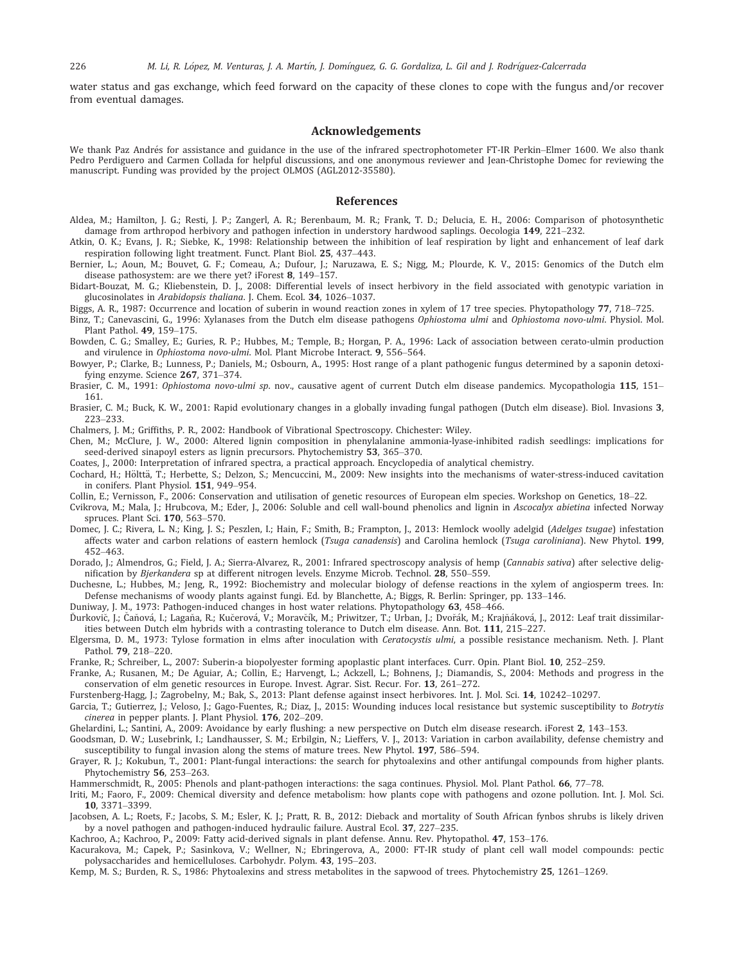water status and gas exchange, which feed forward on the capacity of these clones to cope with the fungus and/or recover from eventual damages.

## Acknowledgements

We thank Paz Andrés for assistance and guidance in the use of the infrared spectrophotometer FT-IR Perkin–Elmer 1600. We also thank Pedro Perdiguero and Carmen Collada for helpful discussions, and one anonymous reviewer and Jean-Christophe Domec for reviewing the manuscript. Funding was provided by the project OLMOS (AGL2012-35580).

#### References

- Aldea, M.; Hamilton, J. G.; Resti, J. P.; Zangerl, A. R.; Berenbaum, M. R.; Frank, T. D.; Delucia, E. H., 2006: Comparison of photosynthetic damage from arthropod herbivory and pathogen infection in understory hardwood saplings. Oecologia 149, 221–232.
- Atkin, O. K.; Evans, J. R.; Siebke, K., 1998: Relationship between the inhibition of leaf respiration by light and enhancement of leaf dark respiration following light treatment. Funct. Plant Biol. 25, 437–443.
- Bernier, L.; Aoun, M.; Bouvet, G. F.; Comeau, A.; Dufour, J.; Naruzawa, E. S.; Nigg, M.; Plourde, K. V., 2015: Genomics of the Dutch elm disease pathosystem: are we there yet? iForest 8, 149–157.
- Bidart-Bouzat, M. G.; Kliebenstein, D. J., 2008: Differential levels of insect herbivory in the field associated with genotypic variation in glucosinolates in Arabidopsis thaliana. J. Chem. Ecol. 34, 1026–1037.
- Biggs, A. R., 1987: Occurrence and location of suberin in wound reaction zones in xylem of 17 tree species. Phytopathology 77, 718–725.
- Binz, T.; Canevascini, G., 1996: Xylanases from the Dutch elm disease pathogens Ophiostoma ulmi and Ophiostoma novo-ulmi. Physiol. Mol. Plant Pathol. 49, 159–175.
- Bowden, C. G.; Smalley, E.; Guries, R. P.; Hubbes, M.; Temple, B.; Horgan, P. A., 1996: Lack of association between cerato-ulmin production and virulence in Ophiostoma novo-ulmi. Mol. Plant Microbe Interact. 9, 556–564.
- Bowyer, P.; Clarke, B.; Lunness, P.; Daniels, M.; Osbourn, A., 1995: Host range of a plant pathogenic fungus determined by a saponin detoxifying enzyme. Science 267, 371–374.
- Brasier, C. M., 1991: *Ophiostoma novo-ulmi sp.* nov., causative agent of current Dutch elm disease pandemics. Mycopathologia 115, 151– 161.
- Brasier, C. M.; Buck, K. W., 2001: Rapid evolutionary changes in a globally invading fungal pathogen (Dutch elm disease). Biol. Invasions 3, 223–233.
- Chalmers, J. M.; Griffiths, P. R., 2002: Handbook of Vibrational Spectroscopy. Chichester: Wiley.
- Chen, M.; McClure, J. W., 2000: Altered lignin composition in phenylalanine ammonia-lyase-inhibited radish seedlings: implications for seed-derived sinapoyl esters as lignin precursors. Phytochemistry 53, 365–370.
- Coates, J., 2000: Interpretation of infrared spectra, a practical approach. Encyclopedia of analytical chemistry.
- Cochard, H.; Hölttä, T.; Herbette, S.; Delzon, S.; Mencuccini, M., 2009: New insights into the mechanisms of water-stress-induced cavitation in conifers. Plant Physiol. 151, 949–954.
- Collin, E.; Vernisson, F., 2006: Conservation and utilisation of genetic resources of European elm species. Workshop on Genetics, 18–22.
- Cvikrova, M.; Mala, J.; Hrubcova, M.; Eder, J., 2006: Soluble and cell wall-bound phenolics and lignin in Ascocalyx abietina infected Norway spruces. Plant Sci. 170, 563–570.
- Domec, J. C.; Rivera, L. N.; King, J. S.; Peszlen, I.; Hain, F.; Smith, B.; Frampton, J., 2013: Hemlock woolly adelgid (Adelges tsugae) infestation affects water and carbon relations of eastern hemlock (Tsuga canadensis) and Carolina hemlock (Tsuga caroliniana). New Phytol. 199, 452–463.
- Dorado, J.; Almendros, G.; Field, J. A.; Sierra-Alvarez, R., 2001: Infrared spectroscopy analysis of hemp (Cannabis sativa) after selective delignification by Bjerkandera sp at different nitrogen levels. Enzyme Microb. Technol. 28, 550–559.
- Duchesne, L.; Hubbes, M.; Jeng, R., 1992: Biochemistry and molecular biology of defense reactions in the xylem of angiosperm trees. In: Defense mechanisms of woody plants against fungi. Ed. by Blanchette, A.; Biggs, R. Berlin: Springer, pp. 133–146.

Duniway, J. M., 1973: Pathogen-induced changes in host water relations. Phytopathology 63, 458–466.

- Durkovič, J.; Čaňová, I.; Lagaňa, R.; Kučerová, V.; Moravčík, M.; Priwitzer, T.; Urban, J.; Dvořák, M.; Krajňáková, J., 2012: Leaf trait dissimilarities between Dutch elm hybrids with a contrasting tolerance to Dutch elm disease. Ann. Bot. 111, 215–227.
- Elgersma, D. M., 1973: Tylose formation in elms after inoculation with Ceratocystis ulmi, a possible resistance mechanism. Neth. J. Plant Pathol. 79, 218–220.
- Franke, R.; Schreiber, L., 2007: Suberin-a biopolyester forming apoplastic plant interfaces. Curr. Opin. Plant Biol. 10, 252–259.
- Franke, A.; Rusanen, M.; De Aguiar, A.; Collin, E.; Harvengt, L.; Ackzell, L.; Bohnens, J.; Diamandis, S., 2004: Methods and progress in the conservation of elm genetic resources in Europe. Invest. Agrar. Sist. Recur. For. 13, 261–272.
- Furstenberg-Hagg, J.; Zagrobelny, M.; Bak, S., 2013: Plant defense against insect herbivores. Int. J. Mol. Sci. 14, 10242–10297.
- Garcia, T.; Gutierrez, J.; Veloso, J.; Gago-Fuentes, R.; Diaz, J., 2015: Wounding induces local resistance but systemic susceptibility to Botrytis cinerea in pepper plants. J. Plant Physiol. 176, 202–209.
- Ghelardini, L.; Santini, A., 2009: Avoidance by early flushing: a new perspective on Dutch elm disease research. iForest 2, 143–153.
- Goodsman, D. W.; Lusebrink, I.; Landhausser, S. M.; Erbilgin, N.; Lieffers, V. J., 2013: Variation in carbon availability, defense chemistry and susceptibility to fungal invasion along the stems of mature trees. New Phytol. 197, 586–594.
- Grayer, R. J.; Kokubun, T., 2001: Plant-fungal interactions: the search for phytoalexins and other antifungal compounds from higher plants. Phytochemistry 56, 253–263.
- Hammerschmidt, R., 2005: Phenols and plant-pathogen interactions: the saga continues. Physiol. Mol. Plant Pathol. 66, 77–78.
- Iriti, M.; Faoro, F., 2009: Chemical diversity and defence metabolism: how plants cope with pathogens and ozone pollution. Int. J. Mol. Sci. 10, 3371–3399.
- Jacobsen, A. L.; Roets, F.; Jacobs, S. M.; Esler, K. J.; Pratt, R. B., 2012: Dieback and mortality of South African fynbos shrubs is likely driven by a novel pathogen and pathogen-induced hydraulic failure. Austral Ecol. 37, 227–235.
- Kachroo, A.; Kachroo, P., 2009: Fatty acid-derived signals in plant defense. Annu. Rev. Phytopathol. 47, 153–176.
- Kacurakova, M.; Capek, P.; Sasinkova, V.; Wellner, N.; Ebringerova, A., 2000: FT-IR study of plant cell wall model compounds: pectic polysaccharides and hemicelluloses. Carbohydr. Polym. 43, 195–203.
- Kemp, M. S.; Burden, R. S., 1986: Phytoalexins and stress metabolites in the sapwood of trees. Phytochemistry 25, 1261–1269.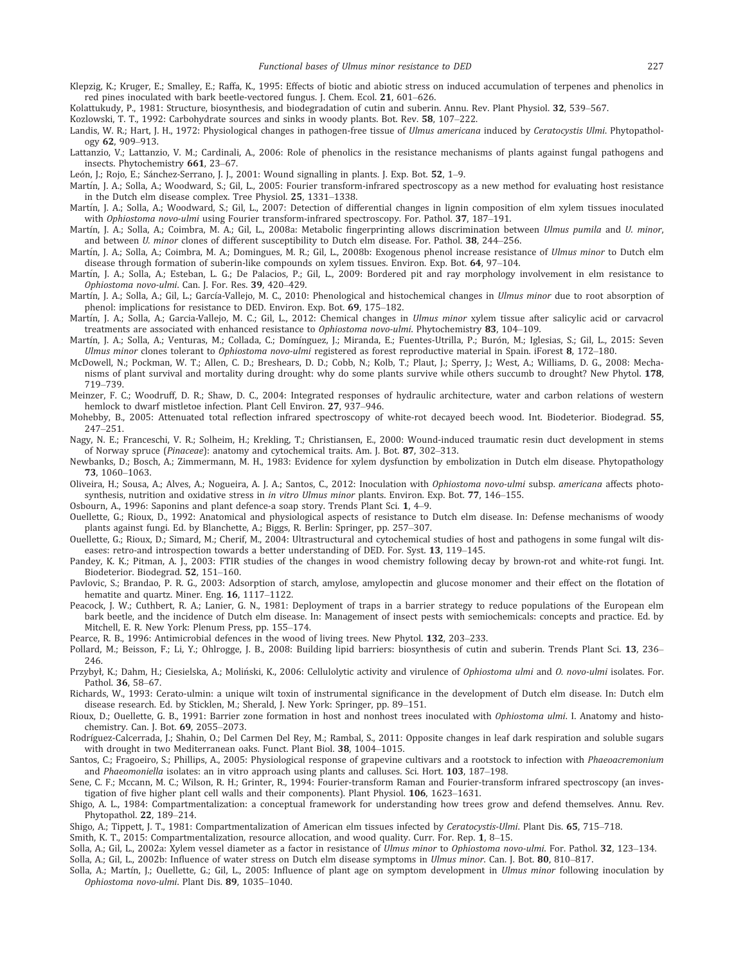- Klepzig, K.; Kruger, E.; Smalley, E.; Raffa, K., 1995: Effects of biotic and abiotic stress on induced accumulation of terpenes and phenolics in red pines inoculated with bark beetle-vectored fungus. J. Chem. Ecol. 21, 601–626.
- Kolattukudy, P., 1981: Structure, biosynthesis, and biodegradation of cutin and suberin. Annu. Rev. Plant Physiol. 32, 539–567.
- Kozlowski, T. T., 1992: Carbohydrate sources and sinks in woody plants. Bot. Rev. 58, 107–222.
- Landis, W. R.; Hart, J. H., 1972: Physiological changes in pathogen-free tissue of Ulmus americana induced by Ceratocystis Ulmi. Phytopathology 62, 909–913.
- Lattanzio, V.; Lattanzio, V. M.; Cardinali, A., 2006: Role of phenolics in the resistance mechanisms of plants against fungal pathogens and insects. Phytochemistry 661, 23–67.

León, J.; Rojo, E.; Sánchez-Serrano, J. J., 2001: Wound signalling in plants. J. Exp. Bot. 52, 1-9.

- Martín, J. A.; Solla, A.; Woodward, S.; Gil, L., 2005: Fourier transform-infrared spectroscopy as a new method for evaluating host resistance in the Dutch elm disease complex. Tree Physiol. 25, 1331–1338.
- Martín, J. A.; Solla, A.; Woodward, S.; Gil, L., 2007: Detection of differential changes in lignin composition of elm xylem tissues inoculated with Ophiostoma novo-ulmi using Fourier transform-infrared spectroscopy. For. Pathol. 37, 187–191.
- Martín, J. A.; Solla, A.; Coimbra, M. A.; Gil, L., 2008a: Metabolic fingerprinting allows discrimination between Ulmus pumila and U. minor, and between U. minor clones of different susceptibility to Dutch elm disease. For. Pathol. 38, 244–256.
- Martín, J. A.; Solla, A.; Coimbra, M. A.; Domingues, M. R.; Gil, L., 2008b: Exogenous phenol increase resistance of Ulmus minor to Dutch elm disease through formation of suberin-like compounds on xylem tissues. Environ. Exp. Bot. 64, 97–104.
- Martín, J. A.; Solla, A.; Esteban, L. G.; De Palacios, P.; Gil, L., 2009: Bordered pit and ray morphology involvement in elm resistance to Ophiostoma novo-ulmi. Can. J. For. Res. 39, 420–429.
- Martín, J. A.; Solla, A.; Gil, L.; García-Vallejo, M. C., 2010: Phenological and histochemical changes in Ulmus minor due to root absorption of phenol: implications for resistance to DED. Environ. Exp. Bot. 69, 175–182.
- Martín, J. A.; Solla, A.; Garcia-Vallejo, M. C.; Gil, L., 2012: Chemical changes in Ulmus minor xylem tissue after salicylic acid or carvacrol treatments are associated with enhanced resistance to Ophiostoma novo-ulmi. Phytochemistry 83, 104–109.
- Martín, J. A.; Solla, A.; Venturas, M.; Collada, C.; Domínguez, J.; Miranda, E.; Fuentes-Utrilla, P.; Burón, M.; Iglesias, S.; Gil, L., 2015: Seven Ulmus minor clones tolerant to Ophiostoma novo-ulmi registered as forest reproductive material in Spain. iForest 8, 172–180.
- McDowell, N.; Pockman, W. T.; Allen, C. D.; Breshears, D. D.; Cobb, N.; Kolb, T.; Plaut, J.; Sperry, J.; West, A.; Williams, D. G., 2008: Mechanisms of plant survival and mortality during drought: why do some plants survive while others succumb to drought? New Phytol. 178, 719–739.
- Meinzer, F. C.; Woodruff, D. R.; Shaw, D. C., 2004: Integrated responses of hydraulic architecture, water and carbon relations of western hemlock to dwarf mistletoe infection. Plant Cell Environ. 27, 937–946.
- Mohebby, B., 2005: Attenuated total reflection infrared spectroscopy of white-rot decayed beech wood. Int. Biodeterior. Biodegrad. 55, 247–251.
- Nagy, N. E.; Franceschi, V. R.; Solheim, H.; Krekling, T.; Christiansen, E., 2000: Wound-induced traumatic resin duct development in stems of Norway spruce (Pinaceae): anatomy and cytochemical traits. Am. J. Bot. 87, 302–313.
- Newbanks, D.; Bosch, A.; Zimmermann, M. H., 1983: Evidence for xylem dysfunction by embolization in Dutch elm disease. Phytopathology 73, 1060–1063.
- Oliveira, H.; Sousa, A.; Alves, A.; Nogueira, A. J. A.; Santos, C., 2012: Inoculation with Ophiostoma novo-ulmi subsp. americana affects photosynthesis, nutrition and oxidative stress in in vitro Ulmus minor plants. Environ. Exp. Bot. 77, 146–155.
- Osbourn, A., 1996: Saponins and plant defence-a soap story. Trends Plant Sci. 1, 4–9.
- Ouellette, G.; Rioux, D., 1992: Anatomical and physiological aspects of resistance to Dutch elm disease. In: Defense mechanisms of woody plants against fungi. Ed. by Blanchette, A.; Biggs, R. Berlin: Springer, pp. 257–307.
- Ouellette, G.; Rioux, D.; Simard, M.; Cherif, M., 2004: Ultrastructural and cytochemical studies of host and pathogens in some fungal wilt diseases: retro-and introspection towards a better understanding of DED. For. Syst. 13, 119–145.
- Pandey, K. K.; Pitman, A. J., 2003: FTIR studies of the changes in wood chemistry following decay by brown-rot and white-rot fungi. Int. Biodeterior. Biodegrad. 52, 151–160.
- Pavlovic, S.; Brandao, P. R. G., 2003: Adsorption of starch, amylose, amylopectin and glucose monomer and their effect on the flotation of hematite and quartz. Miner. Eng. 16, 1117–1122.
- Peacock, J. W.; Cuthbert, R. A.; Lanier, G. N., 1981: Deployment of traps in a barrier strategy to reduce populations of the European elm bark beetle, and the incidence of Dutch elm disease. In: Management of insect pests with semiochemicals: concepts and practice. Ed. by Mitchell, E. R. New York: Plenum Press, pp. 155–174.
- Pearce, R. B., 1996: Antimicrobial defences in the wood of living trees. New Phytol. 132, 203–233.
- Pollard, M.; Beisson, F.; Li, Y.; Ohlrogge, J. B., 2008: Building lipid barriers: biosynthesis of cutin and suberin. Trends Plant Sci. 13, 236– 246.
- Przybył, K.; Dahm, H.; Ciesielska, A.; Moliński, K., 2006: Cellulolytic activity and virulence of Ophiostoma ulmi and O. novo-ulmi isolates. For. Pathol. 36, 58–67.
- Richards, W., 1993: Cerato-ulmin: a unique wilt toxin of instrumental significance in the development of Dutch elm disease. In: Dutch elm disease research. Ed. by Sticklen, M.; Sherald, J. New York: Springer, pp. 89–151.
- Rioux, D.; Ouellette, G. B., 1991: Barrier zone formation in host and nonhost trees inoculated with Ophiostoma ulmi. I. Anatomy and histochemistry. Can. J. Bot. 69, 2055–2073.
- Rodríguez-Calcerrada, J.; Shahin, O.; Del Carmen Del Rey, M.; Rambal, S., 2011: Opposite changes in leaf dark respiration and soluble sugars with drought in two Mediterranean oaks. Funct. Plant Biol. 38, 1004–1015.
- Santos, C.; Fragoeiro, S.; Phillips, A., 2005: Physiological response of grapevine cultivars and a rootstock to infection with Phaeoacremonium and Phaeomoniella isolates: an in vitro approach using plants and calluses. Sci. Hort. 103, 187–198.
- Sene, C. F.; Mccann, M. C.; Wilson, R. H.; Grinter, R., 1994: Fourier-transform Raman and Fourier-transform infrared spectroscopy (an investigation of five higher plant cell walls and their components). Plant Physiol. 106, 1623–1631.
- Shigo, A. L., 1984: Compartmentalization: a conceptual framework for understanding how trees grow and defend themselves. Annu. Rev. Phytopathol. 22, 189–214.
- Shigo, A.; Tippett, J. T., 1981: Compartmentalization of American elm tissues infected by Ceratocystis-Ulmi. Plant Dis. 65, 715–718.
- Smith, K. T., 2015: Compartmentalization, resource allocation, and wood quality. Curr. For. Rep. 1, 8–15.
- Solla, A.; Gil, L., 2002a: Xylem vessel diameter as a factor in resistance of Ulmus minor to Ophiostoma novo-ulmi. For. Pathol. 32, 123–134.
- Solla, A.; Gil, L., 2002b: Influence of water stress on Dutch elm disease symptoms in Ulmus minor. Can. J. Bot. 80, 810–817.
- Solla, A.; Martín, J.; Ouellette, G.; Gil, L., 2005: Influence of plant age on symptom development in *Ulmus minor* following inoculation by Ophiostoma novo-ulmi. Plant Dis. 89, 1035–1040.